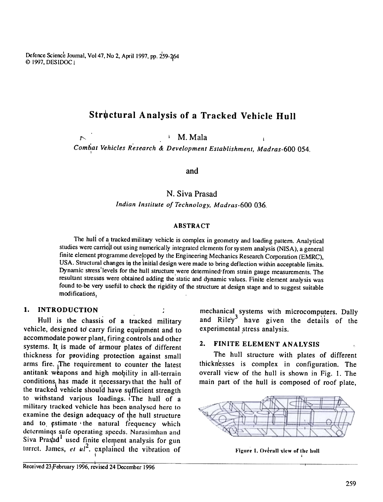Defence Science Journal, Vol 47, No 2, April 1997, pp. 259-264  $\odot$  1997, DESIDOC |

# Structural Analysis of a Tracked Vehicle Hull

 $\sim$   $M.$  Mala  $\sim$   $1$ 

Combat Vehicles Research & Development Establishment, Madras-600 05

and

N. Siva Prasad

Indian Institute of Technology, Madras-600 036.

### ABSTRACT

The hull of a tracked military vehicle is complex in geometry and loading pattern. Analytical studies were carried out using numerically integrated elements for system analysis (NISA), a general finite element programme developed by the Engineering Mechanics Research Corporation (EMRC), USA. Structural changes in the initial design were made to bring deflection within acceptable limits. Dynamic stress'levels for the hull structure were determined from strain gauge measurements. The resultant stresses were obtained adding the static and dynamic values. Finite element analysis was found to be very useful to check the rigidity of the structure at design stage and to suggest suitable modifications,

### I. INTRODUCTION

Hull is the chassis of a tracked military vehicle, designed to carry firing equipment and to accommodate power plant, firing controls and other systems. It is made of armour plates of different thickness for providing protection against small arms fire. The requirement to counter the latest antitank weapons and high mobility in all-terrain conditions, has made it necessary that the hull of the tracked vehicle should have sufficient strength to withstand various loadings. The hull of a military tracked vehicle has been analysed here to examine the design adequacy of the hull structure and to estimate the natural frequency which determinqs safe operating speeds. Narasimhan and Siva Pra $a^d$  used finite element analysis for gun Iurret. James, *et*  $ul^2$ . explained the vibration of \

mechanical systems with microcomputers. Dally and Rile'y<sup>3</sup> have given the details of the experimental stress analysis.

### FINITE ELEMENT ANALYSIS

The hull structure with plates of different thicknesses is complex in configuration. The overall view of the hull is shown in Fig. I. The main part of the hull is composed of roof plate,



rigure 1. Ovérall view of the hu<br>|-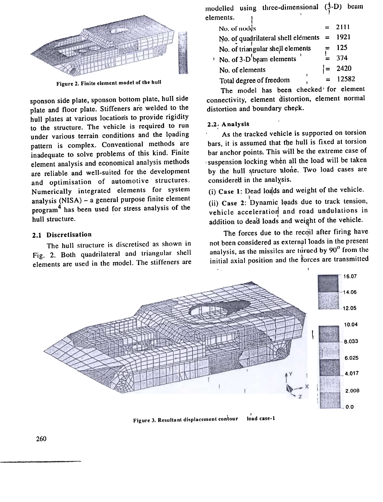

Figure 2. Finite element model of the hull

sponson side plate. sponson bottom plate. hull side plate and floor plate. Stiffeners are welded to the hull plates at various locations to provide rigidity to the structure. The vehicle is required to run under various terrain conditions and the loading pattern is complex. Conventional methods are inadequate to solve problems of this kind, Finite element analysis and economical analysis methods are reliable and well-suited for the development and optimisation of automotive structures. Numerically integrated elements for system analysis (NISA) - a general purpose finite element program4 has been used for stress analysis of the hull structure.

### 2.1 Discretisation

The hull structure is discretised as shown in Fig. 2. Both quadrilateral and triangular shell elements are used in the model. The stiffeners are

|           | modelled using three-dimensional (3-D) beam |  |
|-----------|---------------------------------------------|--|
| elements. |                                             |  |

| No. of nodes                        |       | $= 2111$ |
|-------------------------------------|-------|----------|
| No. of quadrilateral shell elements | $=$   | 1921     |
| No. of triangular shell elements    |       | 125      |
| No. of $3-D'$ beam elements         |       | 374      |
| No. of elements                     | $l =$ | 2420     |
| Total degree of freedom             |       | 12582    |
|                                     |       |          |

The model has been checked' for element connectivity, element distortion, element normal distortion and boundary check.

#### 2.2: Analysis

As the tracked vehicle is supported on torsion bars, it is assumed that the hull is fixed at torsion bar anchor points, This will be the extreme case of suspension locking when all the load will be taken by the hull structure alone. Two load cases are considered in the analysis

(i) Case 1: Dead loads and weight of the vehicle.

 $\overrightarrow{C}$  Case 2: Dynamic loads due to track tension vehicle acceleration and road undulations in addition to dead loads and weight of the vehicle.

The forces due to the recoil after firing have not been considered as external loads in the present analysis, as the missiles are turned by  $90^\circ$  from the initial axial position and the forces are transmitted



load case-1 Figure 3. Resultant displacement contour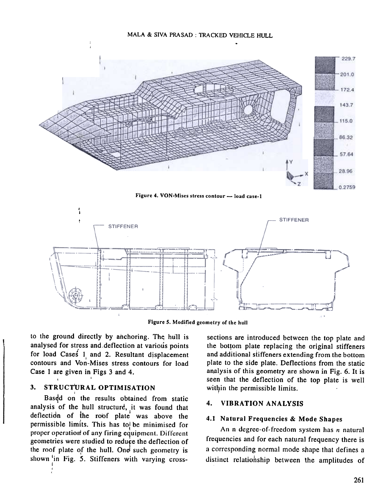#### MALA & SIVA PRASAD : TRACKED VEHICLE HULL



Figure 4. VON<sup>I</sup>Mises stress contour - load case-1



Figure 5. Modified geometry of the hull

to the ground directly by anchoring. The hull is analysed for stress and deflection at various points for load Cases 1 and 2. Resultant displacement contours and Von-Mises stress contours for load Case I are given in Figs 3 and 4. I

# 3. STRUCTURAL OPTIMISA

Based on the results obtained from static analysis of the hull structure, it was found that deflectidn of the roof plate' was above the permissible limits. This has to be minimised for proper operation of any firing equipment. Different geometries were studied to reduce the deflection of the roof plate of the hull. One such geometry is shown 'in Fig. 5. Stiffeners with varying cross

sections are introduced between the top plate and the bottom plate replacing the original stiffeners and additional stiffeners extending from the bottom plate to the side plate. Deflections from the static analysis of this geometry are shown in Fig. 6. It is seen that the deflection of the top plate is well within the permissible limits.

#### 4. VIBRATION ANALYSIS

#### 4.1 Natural Frequencies & Mode Shapes

An  $n$  degree-of-freedom system has  $n$  natural frequencies and for each natural frequency there is a corresponding normal mode shape that defines a distinct relationship between the amplitudes of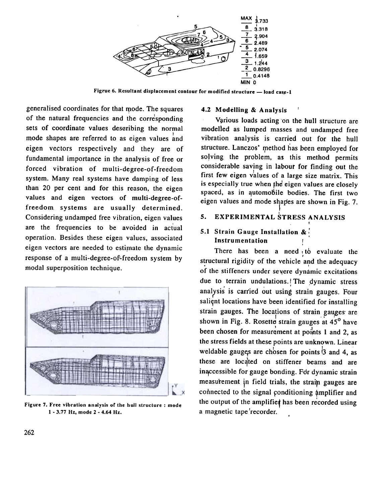

Figrue 6. Resultant displacement contour for modified structure  $-$  load case-1

generalised coordinates for that mode. The squares of the natural frequencies and the corresponding sets of coordinate values describing the normal mode shapes are referred to as eigen values and eigen vectors respectively and they are of fundamental importance in the analysis of free or forced vibration of multi-degree-of-freedom system. Many real systems have damping of less than 20 per cent and for this reason, the eigen values and eigen vectors of multi-degree-offreedom systems are usually determined. Considering undamped free vibration, eigen values are the frequencies to be avoided in actual operation. Besides these eigen values, associated eigen vectors are needed to estimate the dynamic response of a multi-degree-of-freedom system by modal superposition technique.



Figure 7. Free vibration analysis of the hull structure: mode 1- 3.77 Hz, mode 2- 4.64 Hz.

### 4.2 Modelling & Analysis

Various loads acting on the hull structure are modelled as lumped masses and undamped free vibration analysis is carried out for the hull structure. Lanczos' method has been employed for solving the problem, as this method permits considerable saving in labour for finding out the first few eigen values of a large size matrix. This is especially true when the eigen values are closely spaced, as in automobile bodies. The first two eigen values and mode shapes are shown in Fig. 7.

# 5. EXPERIMENTAL STRESS ANALYS

I

## 5.1 Strain Gauge Installation & : **Instrumentation**

There has been a need, to evaluate the structural rigidity of the vehicle and the adequationof the stiffeners under severe dynamic excitations due to terrain undulations. The dynamic stress analysis is carried out using strain gauges. Four salient locations have been identified for installing strain gauges. The locations of strain gauges are shown in Fig. 8. Rosette strain gauges at  $45^{\circ}$  have  $\sum_{1}$ been chosen for measurement at points 1 and 2, as the stress fields at these points are unknown. Linear weldable gauges are chosen for points  $3$  and 4, as these are located on stiffener beams and are inaccessible for gauge bonding. Fdr dynamic strain measurement in field trials, the strain gauges are connected to the signal conditioning amplifier and the output of the amplifier has been recorded using a magnetic tape'recorder.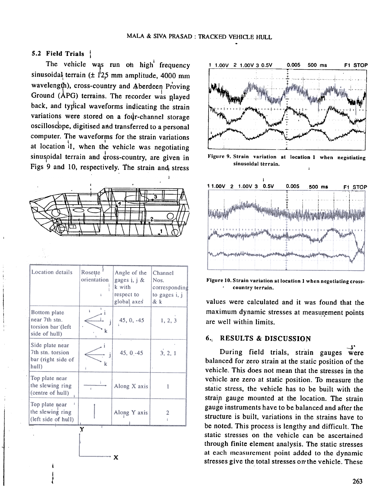#### 5.2 Field Trials |

The vehicle was run on high frequency sinusoidal terrain  $(\pm 125$  mm amplitude, 4000 mm wavelength), cross-country and Aberdeen Provin Ground ( $APG$ ) terrains. The recorder was played back, and typical waveforms indicating the strain variations were stored on a four-channel storage oscilloscope, digitised and transferred to a personal computer. The waveforms for the strain variations \ I at location il, when the vehicle was negotiating sinuspidal terrain and  $\phi$ ross-country, are given in Figs 9 and 10, respectively. The strain and, stress



| Location details                                                    | Roset <sub>te</sub><br>orientation | Angle of the<br>gages i, j &<br>k with<br>respect to<br>global axes | Channel<br>Nos.<br>corresponding<br>to gages i, j<br>& k |
|---------------------------------------------------------------------|------------------------------------|---------------------------------------------------------------------|----------------------------------------------------------|
| Bottom plate<br>near 7th stn.<br>torsion bar (left<br>side of hull) | k                                  | 45, 0, -45                                                          | 1, 2, 3                                                  |
| Side plate near<br>7th stn. torsion<br>bar (right side of<br>hull)  | k                                  | 45, $0, -45$                                                        | 3, 2, 1                                                  |
| Top plate near<br>the slewing ring<br>(centre of hull)              | $\mathbf{I}$                       | Along X axis                                                        |                                                          |
| Top plate near<br>the slewing ring<br>(left side of hull)           |                                    | Along Y axis                                                        |                                                          |
|                                                                     | Y                                  |                                                                     |                                                          |

 $\longrightarrow$  x

( I 1



Figure 9. Strain variation at location 1 when negotiating sinusoidal terrain.



Figure 10. Strain variation at location I when negotiating crosscountry terrain.

values were calculated and it was found that the maximum dynamic stresses at measurement points are well within limits.

#### 6,1 RESULTS & DISCUSSION

-*لا*-<br>During field trials, strain gauges were balanced for zero strain at the static position of the vehicle. This does not mean that the stresses in the vehicle are zero at static position. To measure the static stress, the vehicle has to be built with the strain gauge mounted at the location. The strain gauge instruments have to be balanced and after the structure is built, variations in the strains have to be noted. This process is lengthy and difficult. The static stresses on the vehicle can be ascertained through finite element analysis. The static stresses at each measurement point added to the dynamic stresses give the total stresses on'the vehicle. These